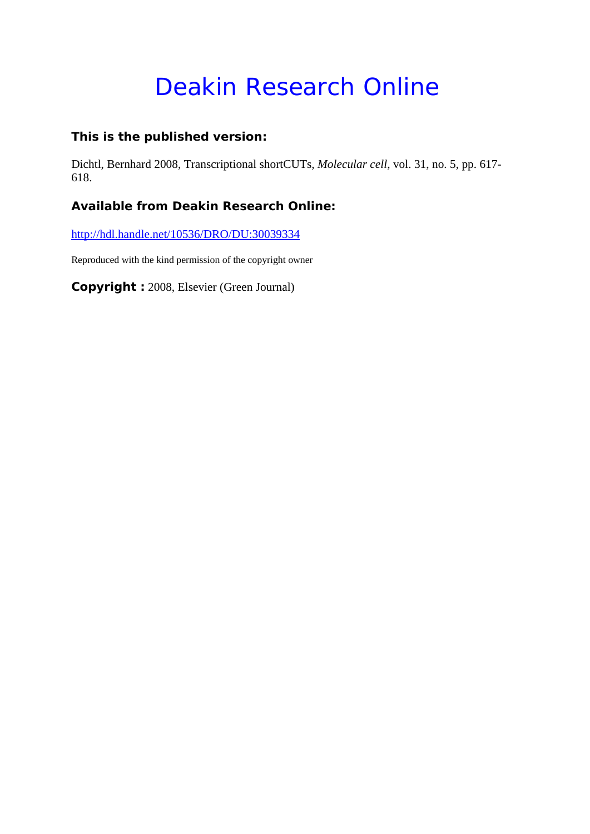# Deakin Research Online

#### **This is the published version:**

Dichtl, Bernhard 2008, Transcriptional shortCUTs*, Molecular cell*, vol. 31, no. 5, pp. 617- 618.

### **Available from Deakin Research Online:**

http://hdl.handle.net/10536/DRO/DU:30039334

Reproduced with the kind permission of the copyright owner

**Copyright :** 2008, Elsevier (Green Journal)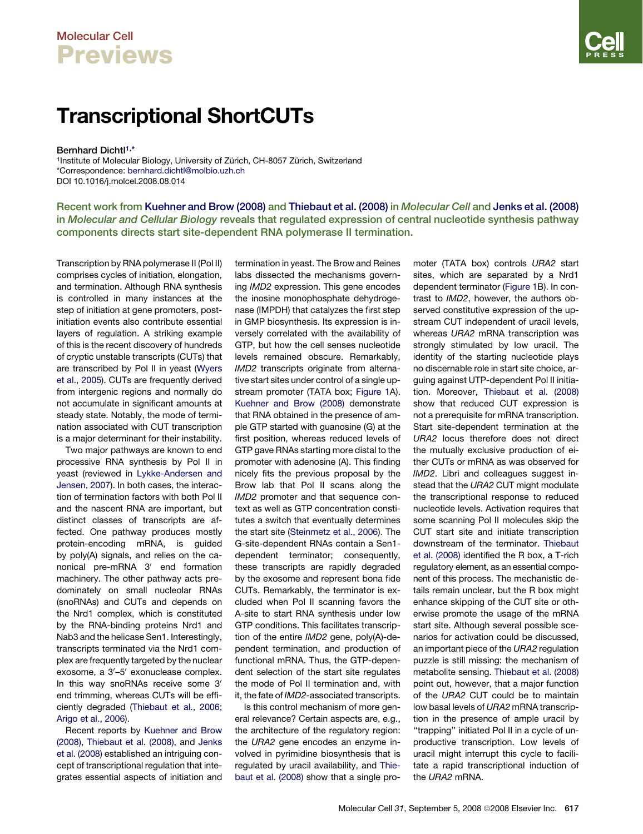## Molecular Cell **Previews**

## Transcriptional ShortCUTs

Bernhard Dichtl<sup>1,\*</sup>

<sup>1</sup>Institute of Molecular Biology, University of Zürich, CH-8057 Zürich, Switzerland \*Correspondence: [bernhard.dichtl@molbio.uzh.ch](mailto:bernhard.dichtl@molbio.uzh.ch) DOI 10.1016/j.molcel.2008.08.014

Recent work from [Kuehner and Brow \(2008\)](#page-2-0) and [Thiebaut et al. \(2008\)](#page-2-0) in Molecular Cell and [Jenks et al. \(2008\)](#page-2-0) in Molecular and Cellular Biology reveals that regulated expression of central nucleotide synthesis pathway components directs start site-dependent RNA polymerase II termination.

Transcription by RNA polymerase II (Pol II) comprises cycles of initiation, elongation, and termination. Although RNA synthesis is controlled in many instances at the step of initiation at gene promoters, postinitiation events also contribute essential layers of regulation. A striking example of this is the recent discovery of hundreds of cryptic unstable transcripts (CUTs) that are transcribed by Pol II in yeast ([Wyers](#page-2-0) [et al., 2005](#page-2-0)). CUTs are frequently derived from intergenic regions and normally do not accumulate in significant amounts at steady state. Notably, the mode of termination associated with CUT transcription is a major determinant for their instability.

Two major pathways are known to end processive RNA synthesis by Pol II in yeast (reviewed in [Lykke-Andersen and](#page-2-0) [Jensen, 2007\)](#page-2-0). In both cases, the interaction of termination factors with both Pol II and the nascent RNA are important, but distinct classes of transcripts are affected. One pathway produces mostly protein-encoding mRNA, is guided by poly(A) signals, and relies on the canonical pre-mRNA 3' end formation machinery. The other pathway acts predominately on small nucleolar RNAs (snoRNAs) and CUTs and depends on the Nrd1 complex, which is constituted by the RNA-binding proteins Nrd1 and Nab3 and the helicase Sen1. Interestingly, transcripts terminated via the Nrd1 complex are frequently targeted by the nuclear exosome, a 3'-5' exonuclease complex. In this way snoRNAs receive some 3' end trimming, whereas CUTs will be efficiently degraded [\(Thiebaut et al., 2006;](#page-2-0) [Arigo et al., 2006](#page-2-0)).

Recent reports by [Kuehner and Brow](#page-2-0) [\(2008\), Thiebaut et al. \(2008\)](#page-2-0), and [Jenks](#page-2-0) [et al. \(2008\)](#page-2-0) established an intriguing concept of transcriptional regulation that integrates essential aspects of initiation and termination in yeast. The Brow and Reines labs dissected the mechanisms governing *IMD2* expression. This gene encodes the inosine monophosphate dehydrogenase (IMPDH) that catalyzes the first step in GMP biosynthesis. Its expression is inversely correlated with the availability of GTP, but how the cell senses nucleotide levels remained obscure. Remarkably, *IMD2* transcripts originate from alternative start sites under control of a single upstream promoter (TATA box; [Figure 1A](#page-2-0)). [Kuehner and Brow \(2008\)](#page-2-0) demonstrate that RNA obtained in the presence of ample GTP started with guanosine (G) at the first position, whereas reduced levels of GTP gave RNAs starting more distal to the promoter with adenosine (A). This finding nicely fits the previous proposal by the Brow lab that Pol II scans along the *IMD2* promoter and that sequence context as well as GTP concentration constitutes a switch that eventually determines the start site [\(Steinmetz et al., 2006\)](#page-2-0). The G-site-dependent RNAs contain a Sen1 dependent terminator; consequently, these transcripts are rapidly degraded by the exosome and represent bona fide CUTs. Remarkably, the terminator is excluded when Pol II scanning favors the A-site to start RNA synthesis under low GTP conditions. This facilitates transcription of the entire *IMD2* gene, poly(A)-dependent termination, and production of functional mRNA. Thus, the GTP-dependent selection of the start site regulates the mode of Pol II termination and, with it, the fate of *IMD2*-associated transcripts.

Is this control mechanism of more general relevance? Certain aspects are, e.g., the architecture of the regulatory region: the *URA2* gene encodes an enzyme involved in pyrimidine biosynthesis that is regulated by uracil availability, and [Thie](#page-2-0)[baut et al. \(2008\)](#page-2-0) show that a single promoter (TATA box) controls *URA2* start sites, which are separated by a Nrd1 dependent terminator ([Figure 1](#page-2-0)B). In contrast to *IMD2*, however, the authors observed constitutive expression of the upstream CUT independent of uracil levels, whereas *URA2* mRNA transcription was strongly stimulated by low uracil. The identity of the starting nucleotide plays no discernable role in start site choice, arguing against UTP-dependent Pol II initiation. Moreover, [Thiebaut et al. \(2008\)](#page-2-0) show that reduced CUT expression is not a prerequisite for mRNA transcription. Start site-dependent termination at the *URA2* locus therefore does not direct the mutually exclusive production of either CUTs or mRNA as was observed for *IMD2*. Libri and colleagues suggest instead that the *URA2* CUT might modulate the transcriptional response to reduced nucleotide levels. Activation requires that some scanning Pol II molecules skip the CUT start site and initiate transcription downstream of the terminator. [Thiebaut](#page-2-0) [et al. \(2008\)](#page-2-0) identified the R box, a T-rich regulatory element, as an essential component of this process. The mechanistic details remain unclear, but the R box might enhance skipping of the CUT site or otherwise promote the usage of the mRNA start site. Although several possible scenarios for activation could be discussed, an important piece of the *URA2* regulation puzzle is still missing: the mechanism of metabolite sensing. [Thiebaut et al. \(2008\)](#page-2-0) point out, however, that a major function of the *URA2* CUT could be to maintain low basal levels of *URA2* mRNA transcription in the presence of ample uracil by ''trapping'' initiated Pol II in a cycle of unproductive transcription. Low levels of uracil might interrupt this cycle to facilitate a rapid transcriptional induction of the *URA2* mRNA.